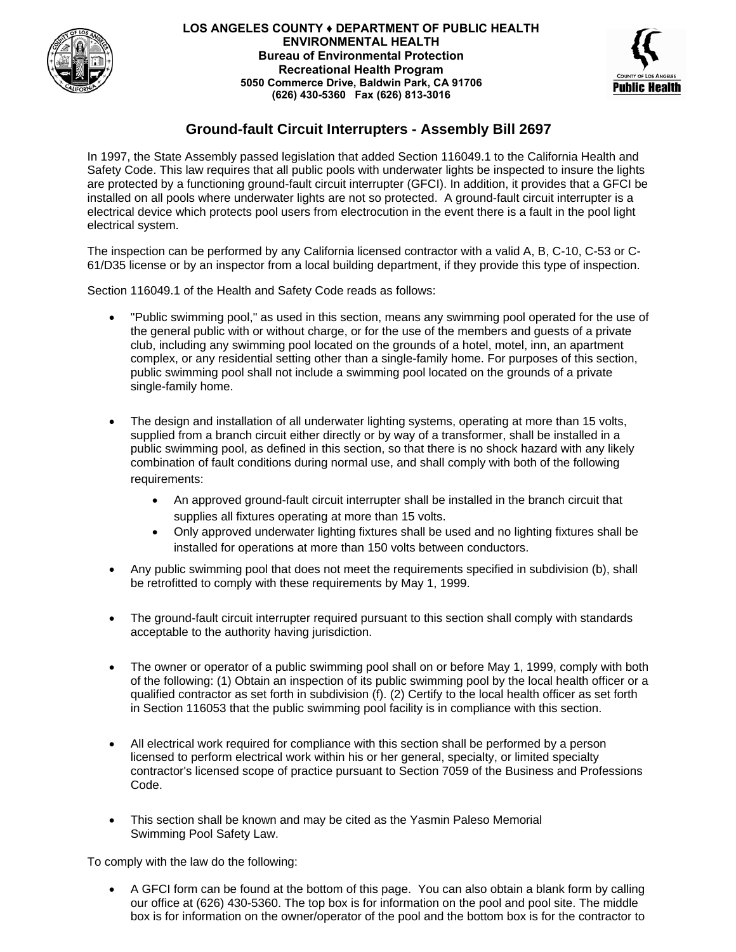

## **LOS ANGELES COUNTY ♦ DEPARTMENT OF PUBLIC HEALTH ENVIRONMENTAL HEALTH Bureau of Environmental Protection Recreational Health Program 5050 Commerce Drive, Baldwin Park, CA 91706 (626) 430-5360 Fax (626) 813-3016**



## **Ground-fault Circuit Interrupters - Assembly Bill 2697**

In 1997, the State Assembly passed legislation that added Section 116049.1 to the California Health and Safety Code. This law requires that all public pools with underwater lights be inspected to insure the lights are protected by a functioning ground-fault circuit interrupter (GFCI). In addition, it provides that a GFCI be installed on all pools where underwater lights are not so protected. A ground-fault circuit interrupter is a electrical device which protects pool users from electrocution in the event there is a fault in the pool light electrical system.

The inspection can be performed by any California licensed contractor with a valid A, B, C-10, C-53 or C-61/D35 license or by an inspector from a local building department, if they provide this type of inspection.

Section 116049.1 of the Health and Safety Code reads as follows:

- "Public swimming pool," as used in this section, means any swimming pool operated for the use of the general public with or without charge, or for the use of the members and guests of a private club, including any swimming pool located on the grounds of a hotel, motel, inn, an apartment complex, or any residential setting other than a single-family home. For purposes of this section, public swimming pool shall not include a swimming pool located on the grounds of a private single-family home.
- The design and installation of all underwater lighting systems, operating at more than 15 volts, supplied from a branch circuit either directly or by way of a transformer, shall be installed in a public swimming pool, as defined in this section, so that there is no shock hazard with any likely combination of fault conditions during normal use, and shall comply with both of the following requirements:
	- An approved ground-fault circuit interrupter shall be installed in the branch circuit that supplies all fixtures operating at more than 15 volts.
	- Only approved underwater lighting fixtures shall be used and no lighting fixtures shall be installed for operations at more than 150 volts between conductors.
- Any public swimming pool that does not meet the requirements specified in subdivision (b), shall be retrofitted to comply with these requirements by May 1, 1999.
- The ground-fault circuit interrupter required pursuant to this section shall comply with standards acceptable to the authority having jurisdiction.
- The owner or operator of a public swimming pool shall on or before May 1, 1999, comply with both of the following: (1) Obtain an inspection of its public swimming pool by the local health officer or a qualified contractor as set forth in subdivision (f). (2) Certify to the local health officer as set forth in Section 116053 that the public swimming pool facility is in compliance with this section.
- All electrical work required for compliance with this section shall be performed by a person licensed to perform electrical work within his or her general, specialty, or limited specialty contractor's licensed scope of practice pursuant to Section 7059 of the Business and Professions Code.
- This section shall be known and may be cited as the Yasmin Paleso Memorial Swimming Pool Safety Law.

To comply with the law do the following:

• A GFCI form can be found at the bottom of this page. You can also obtain a blank form by calling our office at (626) 430-5360. The top box is for information on the pool and pool site. The middle box is for information on the owner/operator of the pool and the bottom box is for the contractor to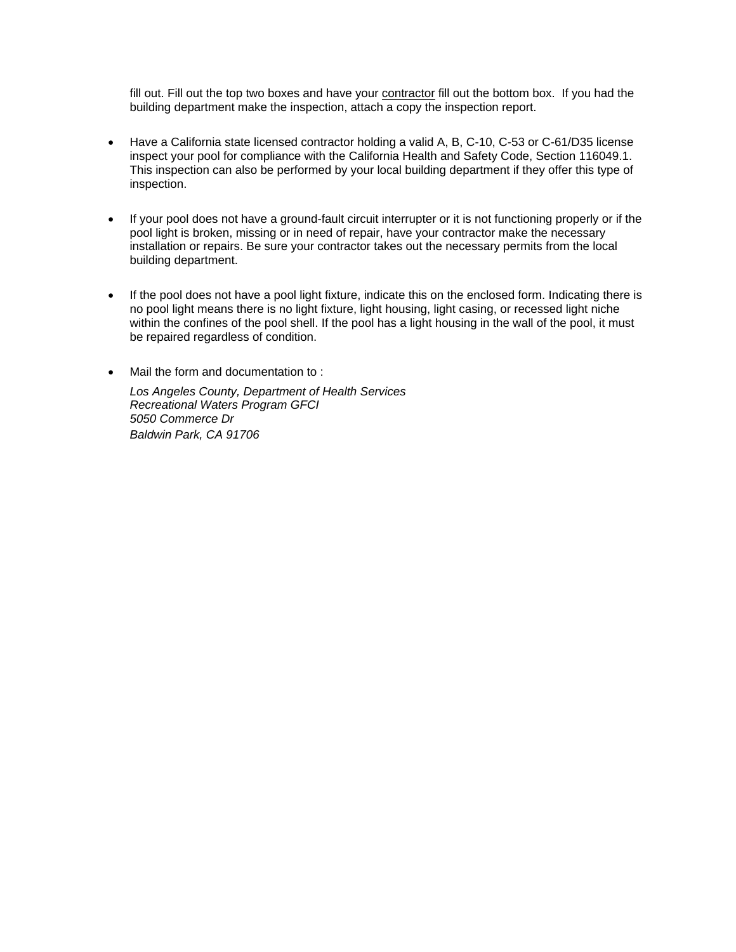fill out. Fill out the top two boxes and have your contractor fill out the bottom box. If you had the building department make the inspection, attach a copy the inspection report.

- Have a California state licensed contractor holding a valid A, B, C-10, C-53 or C-61/D35 license inspect your pool for compliance with the California Health and Safety Code, Section 116049.1. This inspection can also be performed by your local building department if they offer this type of inspection.
- If your pool does not have a ground-fault circuit interrupter or it is not functioning properly or if the pool light is broken, missing or in need of repair, have your contractor make the necessary installation or repairs. Be sure your contractor takes out the necessary permits from the local building department.
- If the pool does not have a pool light fixture, indicate this on the enclosed form. Indicating there is no pool light means there is no light fixture, light housing, light casing, or recessed light niche within the confines of the pool shell. If the pool has a light housing in the wall of the pool, it must be repaired regardless of condition.
- Mail the form and documentation to :

*Los Angeles County, Department of Health Services Recreational Waters Program GFCI 5050 Commerce Dr Baldwin Park, CA 91706*